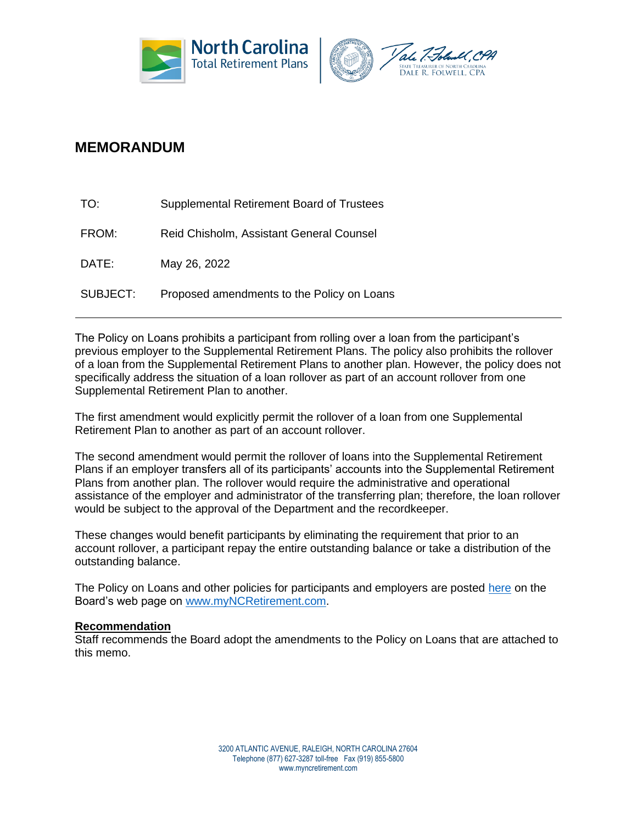



## **MEMORANDUM**

| TO:      | Supplemental Retirement Board of Trustees  |
|----------|--------------------------------------------|
| FROM:    | Reid Chisholm, Assistant General Counsel   |
| DATE:    | May 26, 2022                               |
| SUBJECT: | Proposed amendments to the Policy on Loans |

The Policy on Loans prohibits a participant from rolling over a loan from the participant's previous employer to the Supplemental Retirement Plans. The policy also prohibits the rollover of a loan from the Supplemental Retirement Plans to another plan. However, the policy does not specifically address the situation of a loan rollover as part of an account rollover from one Supplemental Retirement Plan to another.

The first amendment would explicitly permit the rollover of a loan from one Supplemental Retirement Plan to another as part of an account rollover.

The second amendment would permit the rollover of loans into the Supplemental Retirement Plans if an employer transfers all of its participants' accounts into the Supplemental Retirement Plans from another plan. The rollover would require the administrative and operational assistance of the employer and administrator of the transferring plan; therefore, the loan rollover would be subject to the approval of the Department and the recordkeeper.

These changes would benefit participants by eliminating the requirement that prior to an account rollover, a participant repay the entire outstanding balance or take a distribution of the outstanding balance.

The Policy on Loans and other policies for participants and employers are posted [here](https://www.myncretirement.com/governance/boards-trustees-and-committees/supplemental-retirement-board-trustees#policies-for-partipants-and-employers) on the Board's web page on [www.myNCRetirement.com.](http://www.myncretirement.com/)

## **Recommendation**

Staff recommends the Board adopt the amendments to the Policy on Loans that are attached to this memo.